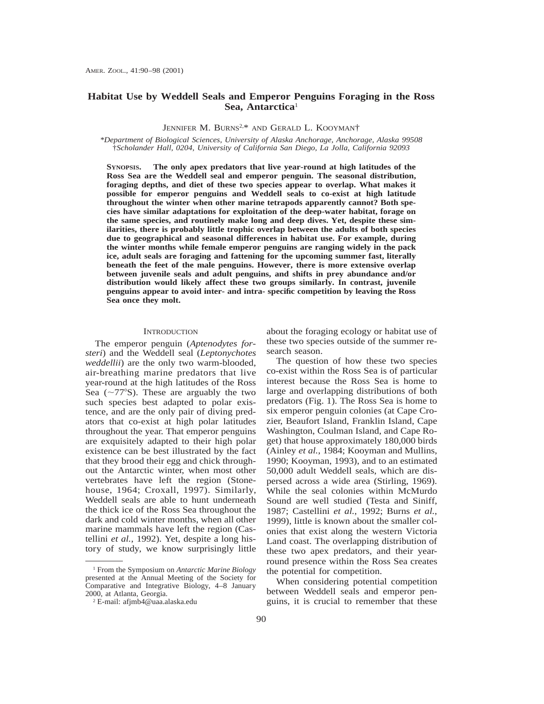# **Habitat Use by Weddell Seals and Emperor Penguins Foraging in the Ross Sea, Antarctica**<sup>1</sup>

JENNIFER M. BURNS<sup>2,\*</sup> AND GERALD L. KOOYMAN<sup>†</sup>

*\*Department of Biological Sciences, University of Alaska Anchorage, Anchorage, Alaska 99508* †*Scholander Hall, 0204, University of California San Diego, La Jolla, California 92093*

**SYNOPSIS. The only apex predators that live year-round at high latitudes of the Ross Sea are the Weddell seal and emperor penguin. The seasonal distribution, foraging depths, and diet of these two species appear to overlap. What makes it possible for emperor penguins and Weddell seals to co-exist at high latitude throughout the winter when other marine tetrapods apparently cannot? Both species have similar adaptations for exploitation of the deep-water habitat, forage on the same species, and routinely make long and deep dives. Yet, despite these similarities, there is probably little trophic overlap between the adults of both species due to geographical and seasonal differences in habitat use. For example, during the winter months while female emperor penguins are ranging widely in the pack ice, adult seals are foraging and fattening for the upcoming summer fast, literally beneath the feet of the male penguins. However, there is more extensive overlap between juvenile seals and adult penguins, and shifts in prey abundance and/or distribution would likely affect these two groups similarly. In contrast, juvenile penguins appear to avoid inter- and intra- specific competition by leaving the Ross Sea once they molt.**

#### **INTRODUCTION**

The emperor penguin (*Aptenodytes forsteri*) and the Weddell seal (*Leptonychotes weddellii*) are the only two warm-blooded, air-breathing marine predators that live year-round at the high latitudes of the Ross Sea  $({\sim}77^{\circ}S)$ . These are arguably the two such species best adapted to polar existence, and are the only pair of diving predators that co-exist at high polar latitudes throughout the year. That emperor penguins are exquisitely adapted to their high polar existence can be best illustrated by the fact that they brood their egg and chick throughout the Antarctic winter, when most other vertebrates have left the region (Stonehouse, 1964; Croxall, 1997). Similarly, Weddell seals are able to hunt underneath the thick ice of the Ross Sea throughout the dark and cold winter months, when all other marine mammals have left the region (Castellini *et al.*, 1992). Yet, despite a long history of study, we know surprisingly little

about the foraging ecology or habitat use of these two species outside of the summer research season.

The question of how these two species co-exist within the Ross Sea is of particular interest because the Ross Sea is home to large and overlapping distributions of both predators (Fig. 1). The Ross Sea is home to six emperor penguin colonies (at Cape Crozier, Beaufort Island, Franklin Island, Cape Washington, Coulman Island, and Cape Roget) that house approximately 180,000 birds (Ainley *et al.*, 1984; Kooyman and Mullins, 1990; Kooyman, 1993), and to an estimated 50,000 adult Weddell seals, which are dispersed across a wide area (Stirling, 1969). While the seal colonies within McMurdo Sound are well studied (Testa and Siniff, 1987; Castellini *et al.*, 1992; Burns *et al.*, 1999), little is known about the smaller colonies that exist along the western Victoria Land coast. The overlapping distribution of these two apex predators, and their yearround presence within the Ross Sea creates the potential for competition.

When considering potential competition between Weddell seals and emperor penguins, it is crucial to remember that these

<sup>1</sup> From the Symposium on *Antarctic Marine Biology* presented at the Annual Meeting of the Society for Comparative and Integrative Biology, 4–8 January 2000, at Atlanta, Georgia.

<sup>2</sup> E-mail: afjmb4@uaa.alaska.edu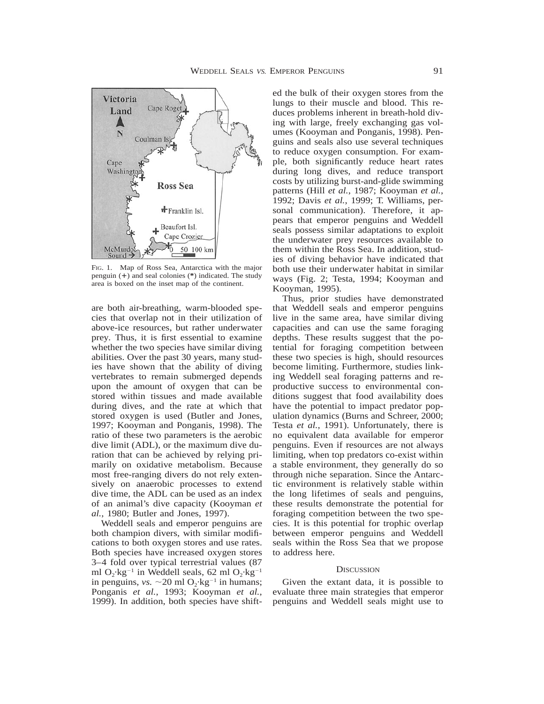

FIG. 1. Map of Ross Sea, Antarctica with the major penguin (1) and seal colonies (**\***) indicated. The study area is boxed on the inset map of the continent.

are both air-breathing, warm-blooded species that overlap not in their utilization of above-ice resources, but rather underwater prey. Thus, it is first essential to examine whether the two species have similar diving abilities. Over the past 30 years, many studies have shown that the ability of diving vertebrates to remain submerged depends upon the amount of oxygen that can be stored within tissues and made available during dives, and the rate at which that stored oxygen is used (Butler and Jones, 1997; Kooyman and Ponganis, 1998). The ratio of these two parameters is the aerobic dive limit (ADL), or the maximum dive duration that can be achieved by relying primarily on oxidative metabolism. Because most free-ranging divers do not rely extensively on anaerobic processes to extend dive time, the ADL can be used as an index of an animal's dive capacity (Kooyman *et al.*, 1980; Butler and Jones, 1997).

Weddell seals and emperor penguins are both champion divers, with similar modifications to both oxygen stores and use rates. Both species have increased oxygen stores 3–4 fold over typical terrestrial values (87 ml O<sub>2</sub>·kg<sup>-1</sup> in Weddell seals, 62 ml O<sub>2</sub>·kg<sup>-1</sup> in penguins, *vs.*  $\sim$  20 ml O<sub>2</sub>·kg<sup>-1</sup> in humans; Ponganis *et al.*, 1993; Kooyman *et al.*, 1999). In addition, both species have shifted the bulk of their oxygen stores from the lungs to their muscle and blood. This reduces problems inherent in breath-hold diving with large, freely exchanging gas volumes (Kooyman and Ponganis, 1998). Penguins and seals also use several techniques to reduce oxygen consumption. For example, both significantly reduce heart rates during long dives, and reduce transport costs by utilizing burst-and-glide swimming patterns (Hill *et al.*, 1987; Kooyman *et al.*, 1992; Davis *et al.*, 1999; T. Williams, personal communication). Therefore, it appears that emperor penguins and Weddell seals possess similar adaptations to exploit the underwater prey resources available to them within the Ross Sea. In addition, studies of diving behavior have indicated that both use their underwater habitat in similar ways (Fig. 2; Testa, 1994; Kooyman and Kooyman, 1995).

Thus, prior studies have demonstrated that Weddell seals and emperor penguins live in the same area, have similar diving capacities and can use the same foraging depths. These results suggest that the potential for foraging competition between these two species is high, should resources become limiting. Furthermore, studies linking Weddell seal foraging patterns and reproductive success to environmental conditions suggest that food availability does have the potential to impact predator population dynamics (Burns and Schreer, 2000; Testa *et al.*, 1991). Unfortunately, there is no equivalent data available for emperor penguins. Even if resources are not always limiting, when top predators co-exist within a stable environment, they generally do so through niche separation. Since the Antarctic environment is relatively stable within the long lifetimes of seals and penguins, these results demonstrate the potential for foraging competition between the two species. It is this potential for trophic overlap between emperor penguins and Weddell seals within the Ross Sea that we propose to address here.

### **DISCUSSION**

Given the extant data, it is possible to evaluate three main strategies that emperor penguins and Weddell seals might use to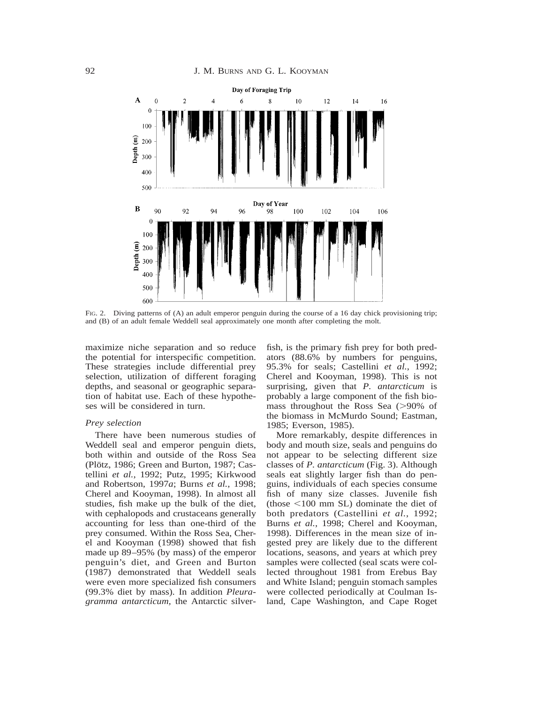

FIG. 2. Diving patterns of (A) an adult emperor penguin during the course of a 16 day chick provisioning trip; and (B) of an adult female Weddell seal approximately one month after completing the molt.

maximize niche separation and so reduce the potential for interspecific competition. These strategies include differential prey selection, utilization of different foraging depths, and seasonal or geographic separation of habitat use. Each of these hypotheses will be considered in turn.

#### *Prey selection*

There have been numerous studies of Weddell seal and emperor penguin diets, both within and outside of the Ross Sea (Plötz, 1986; Green and Burton, 1987; Castellini *et al.*, 1992; Putz, 1995; Kirkwood and Robertson, 1997*a*; Burns *et al.*, 1998; Cherel and Kooyman, 1998). In almost all studies, fish make up the bulk of the diet, with cephalopods and crustaceans generally accounting for less than one-third of the prey consumed. Within the Ross Sea, Cherel and Kooyman (1998) showed that fish made up 89–95% (by mass) of the emperor penguin's diet, and Green and Burton (1987) demonstrated that Weddell seals were even more specialized fish consumers (99.3% diet by mass). In addition *Pleuragramma antarcticum,* the Antarctic silver-

fish, is the primary fish prey for both predators (88.6% by numbers for penguins, 95.3% for seals; Castellini *et al.*, 1992; Cherel and Kooyman, 1998). This is not surprising, given that *P. antarcticum* is probably a large component of the fish biomass throughout the Ross Sea  $(>90\%$  of the biomass in McMurdo Sound; Eastman, 1985; Everson, 1985).

More remarkably, despite differences in body and mouth size, seals and penguins do not appear to be selecting different size classes of *P. antarcticum* (Fig. 3). Although seals eat slightly larger fish than do penguins, individuals of each species consume fish of many size classes. Juvenile fish (those  $\leq$ 100 mm SL) dominate the diet of both predators (Castellini *et al.*, 1992; Burns *et al.*, 1998; Cherel and Kooyman, 1998). Differences in the mean size of ingested prey are likely due to the different locations, seasons, and years at which prey samples were collected (seal scats were collected throughout 1981 from Erebus Bay and White Island; penguin stomach samples were collected periodically at Coulman Island, Cape Washington, and Cape Roget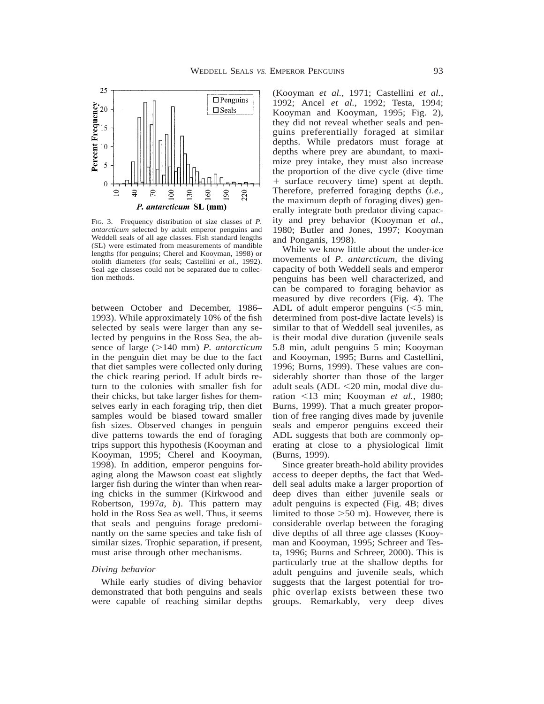

FIG. 3. Frequency distribution of size classes of *P. antarcticum* selected by adult emperor penguins and Weddell seals of all age classes. Fish standard lengths (SL) were estimated from measurements of mandible lengths (for penguins; Cherel and Kooyman, 1998) or otolith diameters (for seals; Castellini *et al.*, 1992). Seal age classes could not be separated due to collection methods.

between October and December, 1986– 1993). While approximately 10% of the fish selected by seals were larger than any selected by penguins in the Ross Sea, the absence of large  $(>140 \text{ mm})$  *P. antarcticum* in the penguin diet may be due to the fact that diet samples were collected only during the chick rearing period. If adult birds return to the colonies with smaller fish for their chicks, but take larger fishes for themselves early in each foraging trip, then diet samples would be biased toward smaller fish sizes. Observed changes in penguin dive patterns towards the end of foraging trips support this hypothesis (Kooyman and Kooyman, 1995; Cherel and Kooyman, 1998). In addition, emperor penguins foraging along the Mawson coast eat slightly larger fish during the winter than when rearing chicks in the summer (Kirkwood and Robertson, 1997*a*, *b*). This pattern may hold in the Ross Sea as well. Thus, it seems that seals and penguins forage predominantly on the same species and take fish of similar sizes. Trophic separation, if present, must arise through other mechanisms.

# *Diving behavior*

While early studies of diving behavior demonstrated that both penguins and seals were capable of reaching similar depths

(Kooyman *et al.*, 1971; Castellini *et al.*, 1992; Ancel *et al.*, 1992; Testa, 1994; Kooyman and Kooyman, 1995; Fig. 2), they did not reveal whether seals and penguins preferentially foraged at similar depths. While predators must forage at depths where prey are abundant, to maximize prey intake, they must also increase the proportion of the dive cycle (dive time 1 surface recovery time) spent at depth. Therefore, preferred foraging depths (*i.e.,* the maximum depth of foraging dives) generally integrate both predator diving capacity and prey behavior (Kooyman *et al.*, 1980; Butler and Jones, 1997; Kooyman and Ponganis, 1998).

While we know little about the under-ice movements of *P. antarcticum,* the diving capacity of both Weddell seals and emperor penguins has been well characterized, and can be compared to foraging behavior as measured by dive recorders (Fig. 4). The ADL of adult emperor penguins  $(<5$  min, determined from post-dive lactate levels) is similar to that of Weddell seal juveniles, as is their modal dive duration (juvenile seals 5.8 min, adult penguins 5 min; Kooyman and Kooyman, 1995; Burns and Castellini, 1996; Burns, 1999). These values are considerably shorter than those of the larger adult seals (ADL <20 min, modal dive duration ,13 min; Kooyman *et al.*, 1980; Burns, 1999). That a much greater proportion of free ranging dives made by juvenile seals and emperor penguins exceed their ADL suggests that both are commonly operating at close to a physiological limit (Burns, 1999).

Since greater breath-hold ability provides access to deeper depths, the fact that Weddell seal adults make a larger proportion of deep dives than either juvenile seals or adult penguins is expected (Fig. 4B; dives limited to those  $>50$  m). However, there is considerable overlap between the foraging dive depths of all three age classes (Kooyman and Kooyman, 1995; Schreer and Testa, 1996; Burns and Schreer, 2000). This is particularly true at the shallow depths for adult penguins and juvenile seals, which suggests that the largest potential for trophic overlap exists between these two groups. Remarkably, very deep dives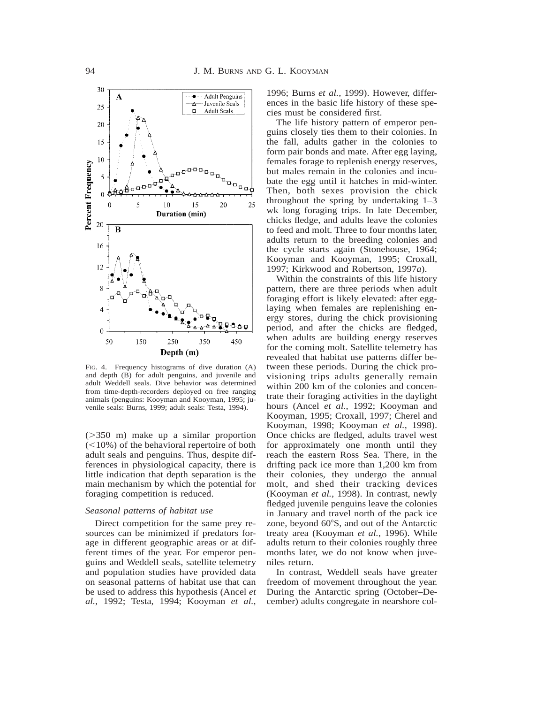

FIG. 4. Frequency histograms of dive duration (A) and depth (B) for adult penguins, and juvenile and adult Weddell seals. Dive behavior was determined from time-depth-recorders deployed on free ranging animals (penguins: Kooyman and Kooyman, 1995; juvenile seals: Burns, 1999; adult seals: Testa, 1994).

 $($ >350 m) make up a similar proportion  $(<10\%)$  of the behavioral repertoire of both adult seals and penguins. Thus, despite differences in physiological capacity, there is little indication that depth separation is the main mechanism by which the potential for foraging competition is reduced.

## *Seasonal patterns of habitat use*

Direct competition for the same prey resources can be minimized if predators forage in different geographic areas or at different times of the year. For emperor penguins and Weddell seals, satellite telemetry and population studies have provided data on seasonal patterns of habitat use that can be used to address this hypothesis (Ancel *et al.*, 1992; Testa, 1994; Kooyman *et al.*,

1996; Burns *et al.*, 1999). However, differences in the basic life history of these species must be considered first.

The life history pattern of emperor penguins closely ties them to their colonies. In the fall, adults gather in the colonies to form pair bonds and mate. After egg laying, females forage to replenish energy reserves, but males remain in the colonies and incubate the egg until it hatches in mid-winter. Then, both sexes provision the chick throughout the spring by undertaking 1–3 wk long foraging trips. In late December, chicks fledge, and adults leave the colonies to feed and molt. Three to four months later, adults return to the breeding colonies and the cycle starts again (Stonehouse, 1964; Kooyman and Kooyman, 1995; Croxall, 1997; Kirkwood and Robertson, 1997*a*).

Within the constraints of this life history pattern, there are three periods when adult foraging effort is likely elevated: after egglaying when females are replenishing energy stores, during the chick provisioning period, and after the chicks are fledged, when adults are building energy reserves for the coming molt. Satellite telemetry has revealed that habitat use patterns differ between these periods. During the chick provisioning trips adults generally remain within 200 km of the colonies and concentrate their foraging activities in the daylight hours (Ancel *et al.*, 1992; Kooyman and Kooyman, 1995; Croxall, 1997; Cherel and Kooyman, 1998; Kooyman *et al.*, 1998). Once chicks are fledged, adults travel west for approximately one month until they reach the eastern Ross Sea. There, in the drifting pack ice more than 1,200 km from their colonies, they undergo the annual molt, and shed their tracking devices (Kooyman *et al.*, 1998). In contrast, newly fledged juvenile penguins leave the colonies in January and travel north of the pack ice zone, beyond  $60^{\circ}$ S, and out of the Antarctic treaty area (Kooyman *et al.*, 1996). While adults return to their colonies roughly three months later, we do not know when juveniles return.

In contrast, Weddell seals have greater freedom of movement throughout the year. During the Antarctic spring (October–December) adults congregate in nearshore col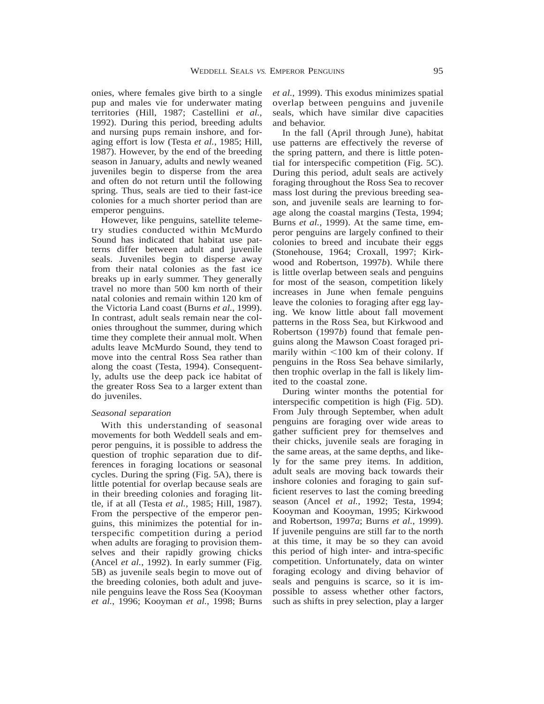onies, where females give birth to a single pup and males vie for underwater mating territories (Hill, 1987; Castellini *et al.*, 1992). During this period, breeding adults and nursing pups remain inshore, and foraging effort is low (Testa *et al.*, 1985; Hill, 1987). However, by the end of the breeding season in January, adults and newly weaned juveniles begin to disperse from the area and often do not return until the following spring. Thus, seals are tied to their fast-ice colonies for a much shorter period than are emperor penguins.

However, like penguins, satellite telemetry studies conducted within McMurdo Sound has indicated that habitat use patterns differ between adult and juvenile seals. Juveniles begin to disperse away from their natal colonies as the fast ice breaks up in early summer. They generally travel no more than 500 km north of their natal colonies and remain within 120 km of the Victoria Land coast (Burns *et al.*, 1999). In contrast, adult seals remain near the colonies throughout the summer, during which time they complete their annual molt. When adults leave McMurdo Sound, they tend to move into the central Ross Sea rather than along the coast (Testa, 1994). Consequently, adults use the deep pack ice habitat of the greater Ross Sea to a larger extent than do juveniles.

#### *Seasonal separation*

With this understanding of seasonal movements for both Weddell seals and emperor penguins, it is possible to address the question of trophic separation due to differences in foraging locations or seasonal cycles. During the spring (Fig. 5A), there is little potential for overlap because seals are in their breeding colonies and foraging little, if at all (Testa *et al.*, 1985; Hill, 1987). From the perspective of the emperor penguins, this minimizes the potential for interspecific competition during a period when adults are foraging to provision themselves and their rapidly growing chicks (Ancel *et al.*, 1992). In early summer (Fig. 5B) as juvenile seals begin to move out of the breeding colonies, both adult and juvenile penguins leave the Ross Sea (Kooyman *et al.*, 1996; Kooyman *et al.*, 1998; Burns *et al.*, 1999). This exodus minimizes spatial overlap between penguins and juvenile seals, which have similar dive capacities and behavior.

In the fall (April through June), habitat use patterns are effectively the reverse of the spring pattern, and there is little potential for interspecific competition (Fig. 5C). During this period, adult seals are actively foraging throughout the Ross Sea to recover mass lost during the previous breeding season, and juvenile seals are learning to forage along the coastal margins (Testa, 1994; Burns *et al.*, 1999). At the same time, emperor penguins are largely confined to their colonies to breed and incubate their eggs (Stonehouse, 1964; Croxall, 1997; Kirkwood and Robertson, 1997*b*). While there is little overlap between seals and penguins for most of the season, competition likely increases in June when female penguins leave the colonies to foraging after egg laying. We know little about fall movement patterns in the Ross Sea, but Kirkwood and Robertson (1997*b*) found that female penguins along the Mawson Coast foraged primarily within  $\leq 100$  km of their colony. If penguins in the Ross Sea behave similarly, then trophic overlap in the fall is likely limited to the coastal zone.

During winter months the potential for interspecific competition is high (Fig. 5D). From July through September, when adult penguins are foraging over wide areas to gather sufficient prey for themselves and their chicks, juvenile seals are foraging in the same areas, at the same depths, and likely for the same prey items. In addition, adult seals are moving back towards their inshore colonies and foraging to gain sufficient reserves to last the coming breeding season (Ancel *et al.*, 1992; Testa, 1994; Kooyman and Kooyman, 1995; Kirkwood and Robertson, 1997*a*; Burns *et al.*, 1999). If juvenile penguins are still far to the north at this time, it may be so they can avoid this period of high inter- and intra-specific competition. Unfortunately, data on winter foraging ecology and diving behavior of seals and penguins is scarce, so it is impossible to assess whether other factors, such as shifts in prey selection, play a larger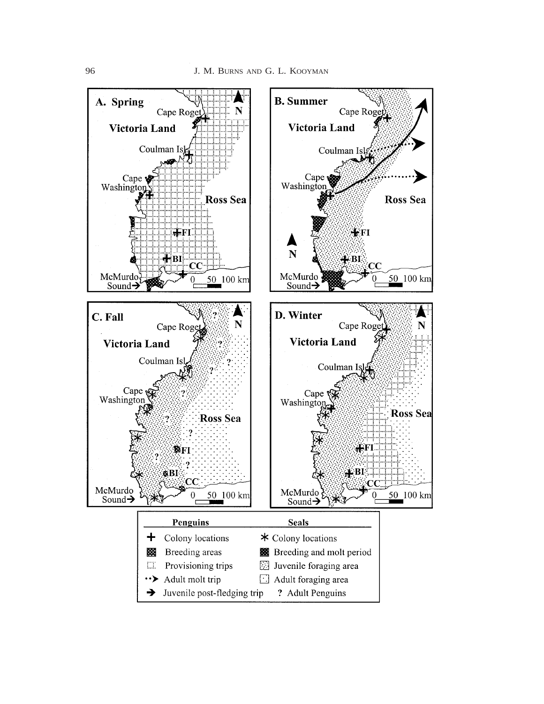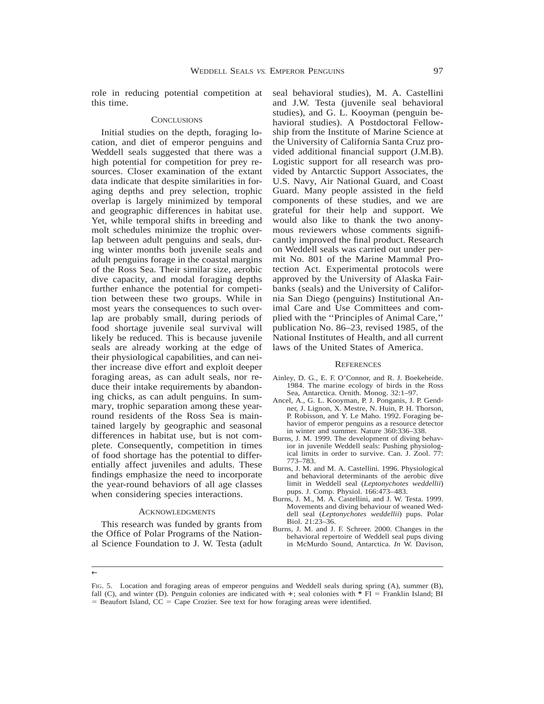role in reducing potential competition at this time.

## **CONCLUSIONS**

Initial studies on the depth, foraging location, and diet of emperor penguins and Weddell seals suggested that there was a high potential for competition for prey resources. Closer examination of the extant data indicate that despite similarities in foraging depths and prey selection, trophic overlap is largely minimized by temporal and geographic differences in habitat use. Yet, while temporal shifts in breeding and molt schedules minimize the trophic overlap between adult penguins and seals, during winter months both juvenile seals and adult penguins forage in the coastal margins of the Ross Sea. Their similar size, aerobic dive capacity, and modal foraging depths further enhance the potential for competition between these two groups. While in most years the consequences to such overlap are probably small, during periods of food shortage juvenile seal survival will likely be reduced. This is because juvenile seals are already working at the edge of their physiological capabilities, and can neither increase dive effort and exploit deeper foraging areas, as can adult seals, nor reduce their intake requirements by abandoning chicks, as can adult penguins. In summary, trophic separation among these yearround residents of the Ross Sea is maintained largely by geographic and seasonal differences in habitat use, but is not complete. Consequently, competition in times of food shortage has the potential to differentially affect juveniles and adults. These findings emphasize the need to incorporate the year-round behaviors of all age classes when considering species interactions.

## **ACKNOWLEDGMENTS**

This research was funded by grants from the Office of Polar Programs of the National Science Foundation to J. W. Testa (adult seal behavioral studies), M. A. Castellini and J.W. Testa (juvenile seal behavioral studies), and G. L. Kooyman (penguin behavioral studies). A Postdoctoral Fellowship from the Institute of Marine Science at the University of California Santa Cruz provided additional financial support (J.M.B). Logistic support for all research was provided by Antarctic Support Associates, the U.S. Navy, Air National Guard, and Coast Guard. Many people assisted in the field components of these studies, and we are grateful for their help and support. We would also like to thank the two anonymous reviewers whose comments significantly improved the final product. Research on Weddell seals was carried out under permit No. 801 of the Marine Mammal Protection Act. Experimental protocols were approved by the University of Alaska Fairbanks (seals) and the University of California San Diego (penguins) Institutional Animal Care and Use Committees and complied with the ''Principles of Animal Care,'' publication No. 86–23, revised 1985, of the National Institutes of Health, and all current laws of the United States of America.

#### **REFERENCES**

- Ainley, D. G., E. F. O'Connor, and R. J. Boekeheide. 1984. The marine ecology of birds in the Ross Sea, Antarctica. Ornith. Monog. 32:1–97.
- Ancel, A., G. L. Kooyman, P. J. Ponganis, J. P. Gendner, J. Lignon, X. Mestre, N. Huin, P. H. Thorson, P. Robisson, and Y. Le Maho. 1992. Foraging behavior of emperor penguins as a resource detector in winter and summer. Nature 360:336–338.
- Burns, J. M. 1999. The development of diving behavior in juvenile Weddell seals: Pushing physiological limits in order to survive. Can. J. Zool. 77: 773–783.
- Burns, J. M. and M. A. Castellini. 1996. Physiological and behavioral determinants of the aerobic dive limit in Weddell seal (*Leptonychotes weddellii*) pups. J. Comp. Physiol. 166:473–483.
- Burns, J. M., M. A. Castellini, and J. W. Testa. 1999. Movements and diving behaviour of weaned Weddell seal (*Leptonychotes weddellii*) pups. Polar Biol. 21:23–36.
- Burns, J. M. and J. F. Schreer. 2000. Changes in the behavioral repertoire of Weddell seal pups diving in McMurdo Sound, Antarctica. *In* W. Davison,

←

FIG. 5. Location and foraging areas of emperor penguins and Weddell seals during spring (A), summer (B), fall (C), and winter (D). Penguin colonies are indicated with  $+$ ; seal colonies with  $*$  FI = Franklin Island; BI  $=$  Beaufort Island, CC  $=$  Cape Crozier. See text for how foraging areas were identified.